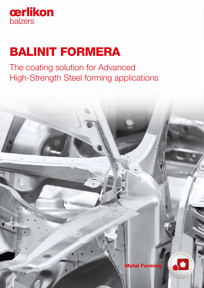

# BALINIT FORMERA

The coating solution for Advanced High-Strength Steel forming applications